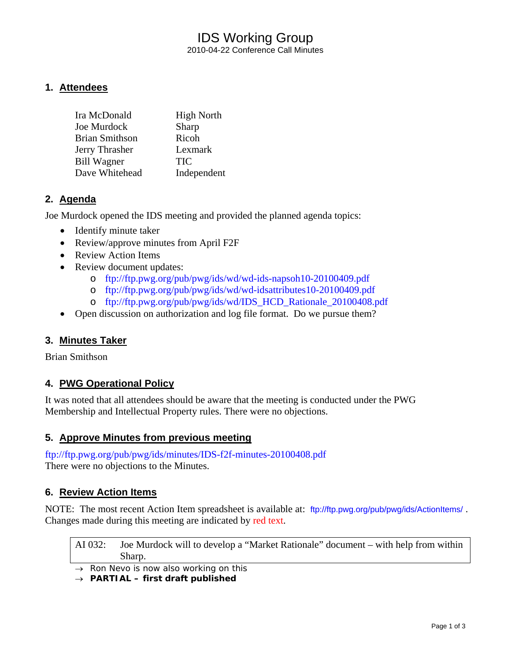# IDS Working Group 2010-04-22 Conference Call Minutes

# **1. Attendees**

| Ira McDonald          | <b>High North</b> |
|-----------------------|-------------------|
| Joe Murdock           | Sharp             |
| <b>Brian Smithson</b> | Ricoh             |
| Jerry Thrasher        | Lexmark           |
| <b>Bill Wagner</b>    | <b>TIC</b>        |
| Dave Whitehead        | Independent       |

# **2. Agenda**

Joe Murdock opened the IDS meeting and provided the planned agenda topics:

- Identify minute taker
- Review/approve minutes from April F2F
- Review Action Items
- Review document updates:
	- o <ftp://ftp.pwg.org/pub/pwg/ids/wd/wd-ids-napsoh10-20100409.pdf>
	- o <ftp://ftp.pwg.org/pub/pwg/ids/wd/wd-idsattributes10-20100409.pdf>
	- o [ftp://ftp.pwg.org/pub/pwg/ids/wd/IDS\\_HCD\\_Rationale\\_20100408.pdf](ftp://ftp.pwg.org/pub/pwg/ids/wd/IDS_HCD_Rationale_20100408.pdf)
- Open discussion on authorization and log file format. Do we pursue them?

# **3. Minutes Taker**

Brian Smithson

# **4. PWG Operational Policy**

It was noted that all attendees should be aware that the meeting is conducted under the PWG Membership and Intellectual Property rules. There were no objections.

#### **5. Approve Minutes from previous meeting**

<ftp://ftp.pwg.org/pub/pwg/ids/minutes/IDS-f2f-minutes-20100408.pdf> There were no objections to the Minutes.

# **6. Review Action Items**

NOTE: The most recent Action Item spreadsheet is available at: <ftp://ftp.pwg.org/pub/pwg/ids/ActionItems/> . Changes made during this meeting are indicated by red text.

AI 032: Joe Murdock will to develop a "Market Rationale" document – with help from within Sharp.

→ *Ron Nevo is now also working on this*

→ *PARTIAL – first draft published*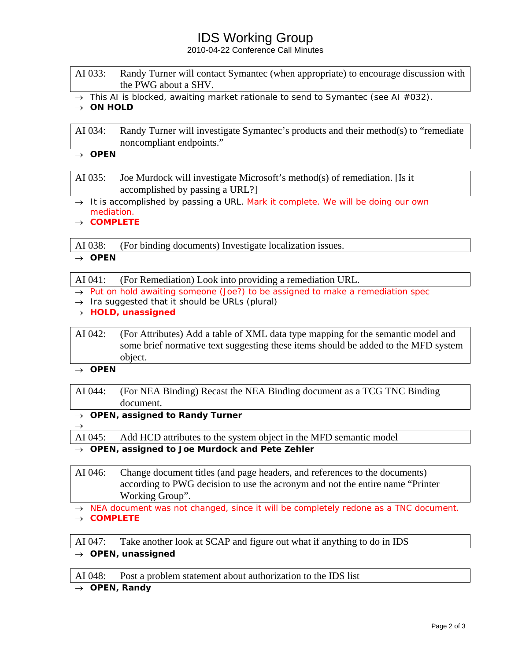# IDS Working Group

2010-04-22 Conference Call Minutes

| AI 033: | Randy Turner will contact Symantec (when appropriate) to encourage discussion with |
|---------|------------------------------------------------------------------------------------|
|         | the PWG about a SHV.                                                               |

→ *This AI is blocked, awaiting market rationale to send to Symantec (see AI #032).*

#### → *ON HOLD*

AI 034: Randy Turner will investigate Symantec's products and their method(s) to "remediate noncompliant endpoints."

### $\rightarrow$  **OPEN**

AI 035: Joe Murdock will investigate Microsoft's method(s) of remediation. [Is it accomplished by passing a URL?]

- → *It is accomplished by passing a URL. Mark it complete. We will be doing our own mediation.*
- → *COMPLETE*

AI 038: (For binding documents) Investigate localization issues.

#### → *OPEN*

AI 041: (For Remediation) Look into providing a remediation URL.

- → *Put on hold awaiting someone (Joe?) to be assigned to make a remediation spec*
- → *Ira suggested that it should be URLs (plural)*
- → *HOLD, unassigned*

AI 042: (For Attributes) Add a table of XML data type mapping for the semantic model and some brief normative text suggesting these items should be added to the MFD system object.

→ *OPEN* 

 $\rightarrow$ 

AI 044: (For NEA Binding) Recast the NEA Binding document as a TCG TNC Binding document.

→ *OPEN, assigned to Randy Turner*

AI 045: Add HCD attributes to the system object in the MFD semantic model

#### → *OPEN, assigned to Joe Murdock and Pete Zehler*

AI 046: Change document titles (and page headers, and references to the documents) according to PWG decision to use the acronym and not the entire name "Printer Working Group".

→ *NEA document was not changed, since it will be completely redone as a TNC document.*  → *COMPLETE* 

AI 047: Take another look at SCAP and figure out what if anything to do in IDS

→ *OPEN, unassigned* 

AI 048: Post a problem statement about authorization to the IDS list

→ *OPEN, Randy*